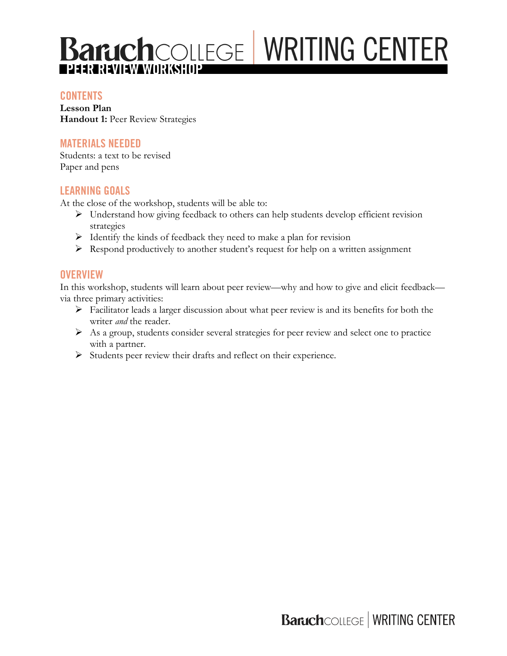## **CONTENTS**

**Lesson Plan Handout 1: Peer Review Strategies** 

## **MATERIALS NEEDED**

Students: a text to be revised Paper and pens

## **LEARNING GOALS**

At the close of the workshop, students will be able to:

- $\triangleright$  Understand how giving feedback to others can help students develop efficient revision strategies
- $\triangleright$  Identify the kinds of feedback they need to make a plan for revision
- $\triangleright$  Respond productively to another student's request for help on a written assignment

## **OVERVIEW**

In this workshop, students will learn about peer review—why and how to give and elicit feedback via three primary activities:

- $\triangleright$  Facilitator leads a larger discussion about what peer review is and its benefits for both the writer *and* the reader.
- Ø As a group, students consider several strategies for peer review and select one to practice with a partner.
- Ø Students peer review their drafts and reflect on their experience.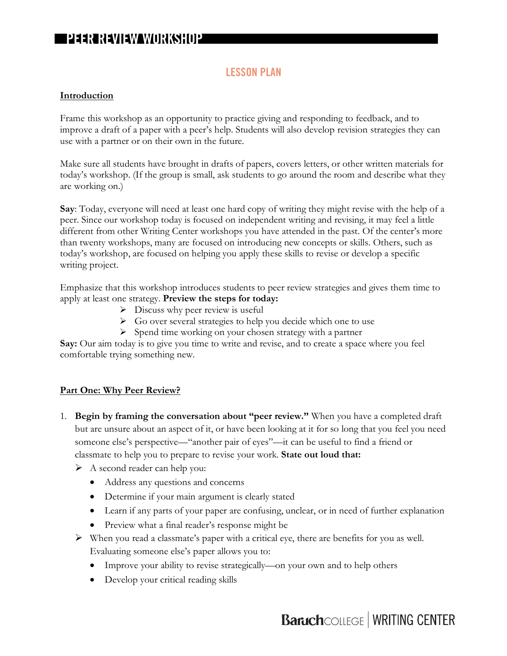## **LESSON PLAN**

#### **Introduction**

Frame this workshop as an opportunity to practice giving and responding to feedback, and to improve a draft of a paper with a peer's help. Students will also develop revision strategies they can use with a partner or on their own in the future.

Make sure all students have brought in drafts of papers, covers letters, or other written materials for today's workshop. (If the group is small, ask students to go around the room and describe what they are working on.)

**Say**: Today, everyone will need at least one hard copy of writing they might revise with the help of a peer. Since our workshop today is focused on independent writing and revising, it may feel a little different from other Writing Center workshops you have attended in the past. Of the center's more than twenty workshops, many are focused on introducing new concepts or skills. Others, such as today's workshop, are focused on helping you apply these skills to revise or develop a specific writing project.

Emphasize that this workshop introduces students to peer review strategies and gives them time to apply at least one strategy. **Preview the steps for today:**

- $\triangleright$  Discuss why peer review is useful
- $\triangleright$  Go over several strategies to help you decide which one to use
- $\triangleright$  Spend time working on your chosen strategy with a partner

**Say:** Our aim today is to give you time to write and revise, and to create a space where you feel comfortable trying something new.

## **Part One: Why Peer Review?**

- 1. **Begin by framing the conversation about "peer review."** When you have a completed draft but are unsure about an aspect of it, or have been looking at it for so long that you feel you need someone else's perspective—"another pair of eyes"—it can be useful to find a friend or classmate to help you to prepare to revise your work. **State out loud that:**
	- Ø A second reader can help you:
		- Address any questions and concerns
		- Determine if your main argument is clearly stated
		- Learn if any parts of your paper are confusing, unclear, or in need of further explanation
		- Preview what a final reader's response might be
	- $\triangleright$  When you read a classmate's paper with a critical eye, there are benefits for you as well. Evaluating someone else's paper allows you to:
		- Improve your ability to revise strategically—on your own and to help others
		- Develop your critical reading skills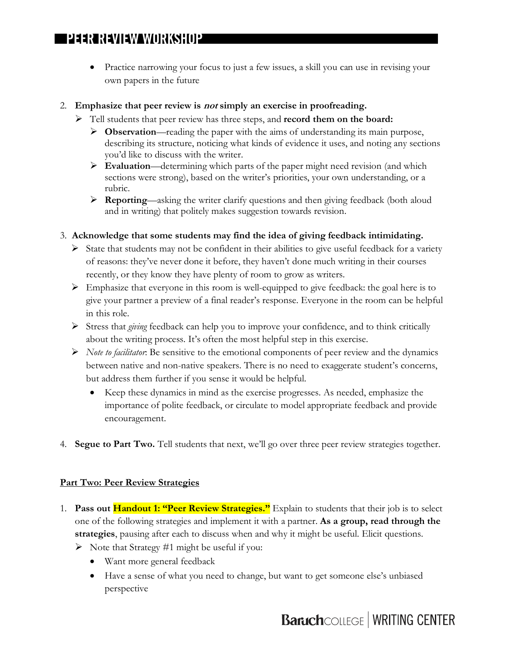• Practice narrowing your focus to just a few issues, a skill you can use in revising your own papers in the future

#### 2. **Emphasize that peer review is not simply an exercise in proofreading.**

- Ø Tell students that peer review has three steps, and **record them on the board:**
	- Ø **Observation**—reading the paper with the aims of understanding its main purpose, describing its structure, noticing what kinds of evidence it uses, and noting any sections you'd like to discuss with the writer.
	- Ø **Evaluation**—determining which parts of the paper might need revision (and which sections were strong), based on the writer's priorities, your own understanding, or a rubric.
	- Ø **Reporting**—asking the writer clarify questions and then giving feedback (both aloud and in writing) that politely makes suggestion towards revision.
- 3. **Acknowledge that some students may find the idea of giving feedback intimidating.** 
	- $\triangleright$  State that students may not be confident in their abilities to give useful feedback for a variety of reasons: they've never done it before, they haven't done much writing in their courses recently, or they know they have plenty of room to grow as writers.
	- $\triangleright$  Emphasize that everyone in this room is well-equipped to give feedback: the goal here is to give your partner a preview of a final reader's response. Everyone in the room can be helpful in this role.
	- Ø Stress that *giving* feedback can help you to improve your confidence, and to think critically about the writing process. It's often the most helpful step in this exercise.
	- Ø *Note to facilitator*: Be sensitive to the emotional components of peer review and the dynamics between native and non-native speakers. There is no need to exaggerate student's concerns, but address them further if you sense it would be helpful.
		- Keep these dynamics in mind as the exercise progresses. As needed, emphasize the importance of polite feedback, or circulate to model appropriate feedback and provide encouragement.
- 4. **Segue to Part Two.** Tell students that next, we'll go over three peer review strategies together.

## **Part Two: Peer Review Strategies**

- 1. **Pass out Handout 1: "Peer Review Strategies."** Explain to students that their job is to select one of the following strategies and implement it with a partner. **As a group, read through the strategies**, pausing after each to discuss when and why it might be useful. Elicit questions.
	- $\triangleright$  Note that Strategy #1 might be useful if you:
		- Want more general feedback
		- Have a sense of what you need to change, but want to get someone else's unbiased perspective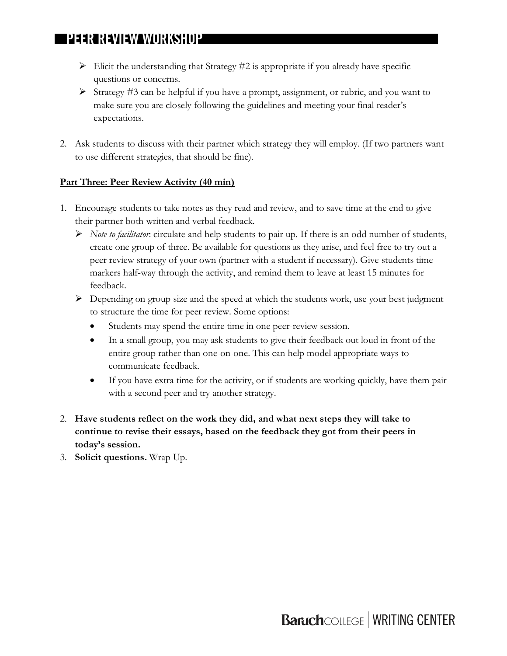- $\triangleright$  Elicit the understanding that Strategy #2 is appropriate if you already have specific questions or concerns.
- $\triangleright$  Strategy #3 can be helpful if you have a prompt, assignment, or rubric, and you want to make sure you are closely following the guidelines and meeting your final reader's expectations.
- 2. Ask students to discuss with their partner which strategy they will employ. (If two partners want to use different strategies, that should be fine).

## **Part Three: Peer Review Activity (40 min)**

- 1. Encourage students to take notes as they read and review, and to save time at the end to give their partner both written and verbal feedback.
	- Ø *Note to facilitator*: circulate and help students to pair up. If there is an odd number of students, create one group of three. Be available for questions as they arise, and feel free to try out a peer review strategy of your own (partner with a student if necessary). Give students time markers half-way through the activity, and remind them to leave at least 15 minutes for feedback.
	- $\triangleright$  Depending on group size and the speed at which the students work, use your best judgment to structure the time for peer review. Some options:
		- Students may spend the entire time in one peer-review session.
		- In a small group, you may ask students to give their feedback out loud in front of the entire group rather than one-on-one. This can help model appropriate ways to communicate feedback.
		- If you have extra time for the activity, or if students are working quickly, have them pair with a second peer and try another strategy.
- 2. **Have students reflect on the work they did, and what next steps they will take to continue to revise their essays, based on the feedback they got from their peers in today's session.**
- 3. **Solicit questions.** Wrap Up.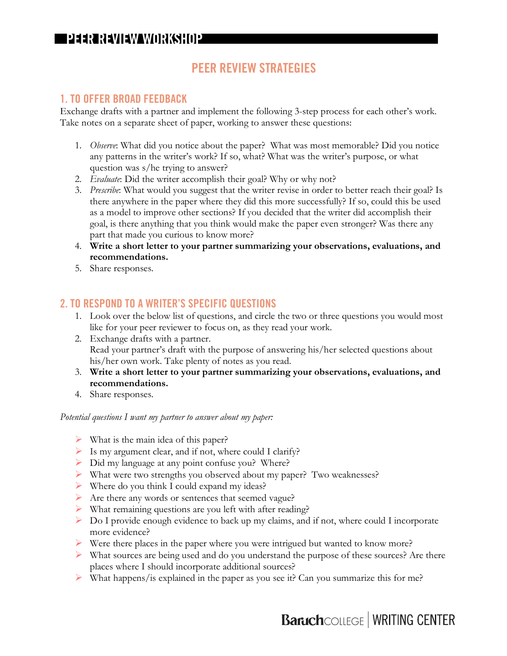## **PEER REVIEW STRATEGIES**

## **1. TO OFFER BROAD FEEDBACK**

Exchange drafts with a partner and implement the following 3-step process for each other's work. Take notes on a separate sheet of paper, working to answer these questions:

- 1. *Observe*: What did you notice about the paper? What was most memorable? Did you notice any patterns in the writer's work? If so, what? What was the writer's purpose, or what question was s/he trying to answer?
- 2. *Evaluate*: Did the writer accomplish their goal? Why or why not?
- 3. *Prescribe*: What would you suggest that the writer revise in order to better reach their goal? Is there anywhere in the paper where they did this more successfully? If so, could this be used as a model to improve other sections? If you decided that the writer did accomplish their goal, is there anything that you think would make the paper even stronger? Was there any part that made you curious to know more?
- 4. **Write a short letter to your partner summarizing your observations, evaluations, and recommendations.**
- 5. Share responses.

## **2. TO RESPOND TO A WRITER'S SPECIFIC QUESTIONS**

- 1. Look over the below list of questions, and circle the two or three questions you would most like for your peer reviewer to focus on, as they read your work.
- 2. Exchange drafts with a partner. Read your partner's draft with the purpose of answering his/her selected questions about his/her own work. Take plenty of notes as you read.
- 3. **Write a short letter to your partner summarizing your observations, evaluations, and recommendations.**
- 4. Share responses.

#### *Potential questions I want my partner to answer about my paper:*

- $\triangleright$  What is the main idea of this paper?
- $\triangleright$  Is my argument clear, and if not, where could I clarify?
- Ø Did my language at any point confuse you? Where?
- Ø What were two strengths you observed about my paper? Two weaknesses?
- $\triangleright$  Where do you think I could expand my ideas?
- Ø Are there any words or sentences that seemed vague?
- $\triangleright$  What remaining questions are you left with after reading?
- Ø Do I provide enough evidence to back up my claims, and if not, where could I incorporate more evidence?
- Ø Were there places in the paper where you were intrigued but wanted to know more?
- $\triangleright$  What sources are being used and do you understand the purpose of these sources? Are there places where I should incorporate additional sources?
- $\triangleright$  What happens/is explained in the paper as you see it? Can you summarize this for me?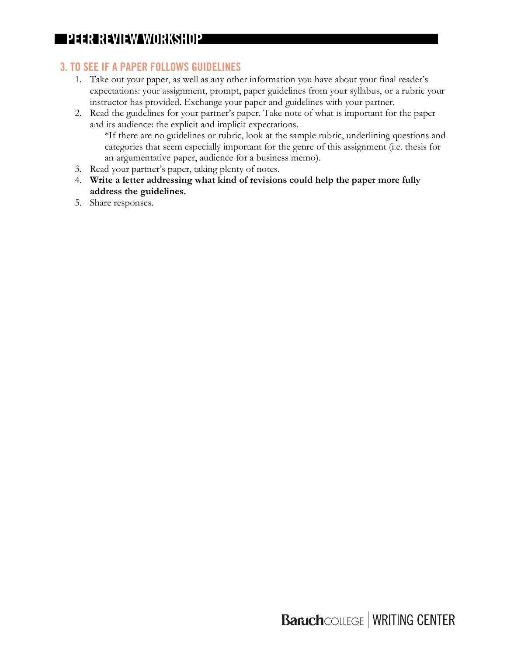## **3. TO SEE IF A PAPER FOLLOWS GUIDELINES**

- 1. Take out your paper, as well as any other information you have about your final reader's expectations: your assignment, prompt, paper guidelines from your syllabus, or a rubric your instructor has provided. Exchange your paper and guidelines with your partner.
- 2. Read the guidelines for your partner's paper. Take note of what is important for the paper and its audience: the explicit and implicit expectations.

\*If there are no guidelines or rubric, look at the sample rubric, underlining questions and categories that seem especially important for the genre of this assignment (i.e. thesis for an argumentative paper, audience for a business memo).

- 3. Read your partner's paper, taking plenty of notes.
- 4. **Write a letter addressing what kind of revisions could help the paper more fully address the guidelines.**
- 5. Share responses.